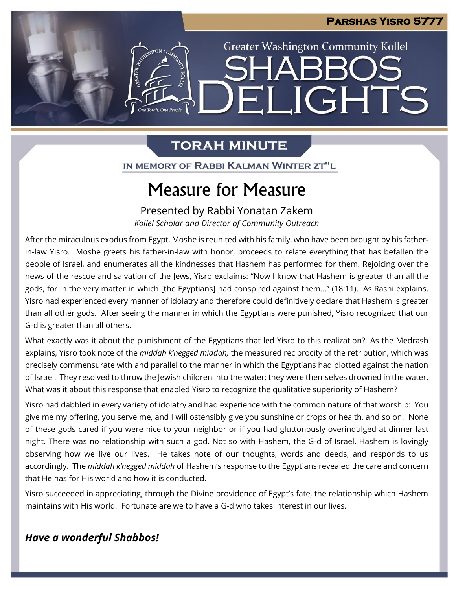**Greater Washington Community Kollel** 

ELIGHTS

# **TORAH MINUTE**

n<br>e Torah. One People

IN MEMORY OF RABBI KALMAN WINTER ZT"L

# Measure for Measure

Presented by Rabbi Yonatan Zakem *Kollel Scholar and Director of Community Outreach*

After the miraculous exodus from Egypt, Moshe is reunited with his family, who have been brought by his fatherin-law Yisro. Moshe greets his father-in-law with honor, proceeds to relate everything that has befallen the people of Israel, and enumerates all the kindnesses that Hashem has performed for them. Rejoicing over the news of the rescue and salvation of the Jews, Yisro exclaims: "Now I know that Hashem is greater than all the gods, for in the very matter in which [the Egyptians] had conspired against them…" (18:11). As Rashi explains, Yisro had experienced every manner of idolatry and therefore could definitively declare that Hashem is greater than all other gods. After seeing the manner in which the Egyptians were punished, Yisro recognized that our G-d is greater than all others.

What exactly was it about the punishment of the Egyptians that led Yisro to this realization? As the Medrash explains, Yisro took note of the *middah k'negged middah,* the measured reciprocity of the retribution, which was precisely commensurate with and parallel to the manner in which the Egyptians had plotted against the nation of Israel. They resolved to throw the Jewish children into the water; they were themselves drowned in the water. What was it about this response that enabled Yisro to recognize the qualitative superiority of Hashem?

Yisro had dabbled in every variety of idolatry and had experience with the common nature of that worship: You give me my offering, you serve me, and I will ostensibly give you sunshine or crops or health, and so on. None of these gods cared if you were nice to your neighbor or if you had gluttonously overindulged at dinner last night. There was no relationship with such a god. Not so with Hashem, the G-d of Israel. Hashem is lovingly observing how we live our lives. He takes note of our thoughts, words and deeds, and responds to us accordingly. The *middah k'negged middah* of Hashem's response to the Egyptians revealed the care and concern that He has for His world and how it is conducted.

Yisro succeeded in appreciating, through the Divine providence of Egypt's fate, the relationship which Hashem maintains with His world. Fortunate are we to have a G-d who takes interest in our lives.

### *Have a wonderful Shabbos!*